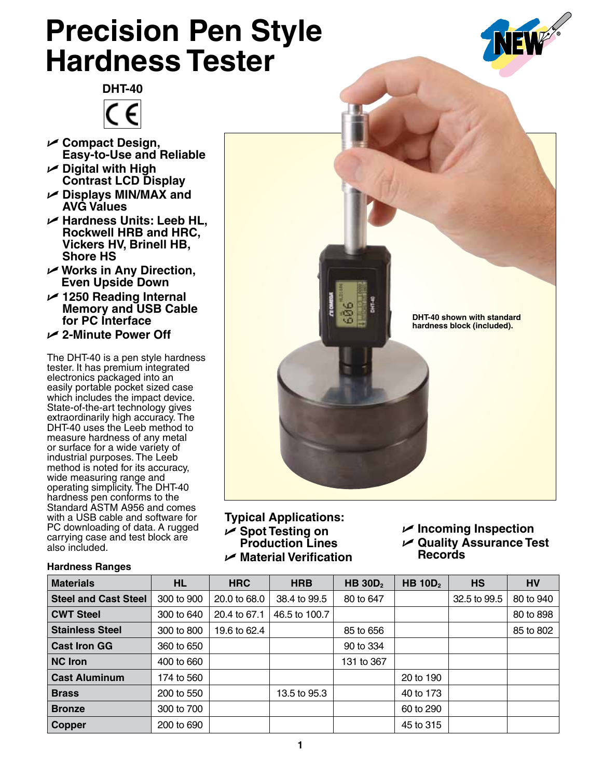## **Precision Pen Style Hardness Tester**





- U **Compact Design, Easy-to-Use and Reliable**
- U **Digital with High Contrast LCD Display**
- U **Displays MIN/MAX and AVG Values**
- U **Hardness Units: Leeb HL, Rockwell HRB and HRC, Vickers HV, Brinell HB, Shore HS**
- U **Works in Any Direction, Even Upside Down**
- U **1250 Reading Internal Memory and USB Cable for PC Interface**
- U **2-Minute Power Off**

The DHT-40 is a pen style hardness tester. It has premium integrated electronics packaged into an easily portable pocket sized case which includes the impact device. State-of-the-art technology gives extraordinarily high accuracy. The DHT-40 uses the Leeb method to measure hardness of any metal or surface for a wide variety of industrial purposes. The Leeb method is noted for its accuracy, wide measuring range and operating simplicity. The DHT-40 hardness pen conforms to the Standard ASTM A956 and comes with a USB cable and software for PC downloading of data. A rugged carrying case and test block are also included.



**Typical Applications:** U **Spot Testing on Production Lines** U **Material Verification**

U **Incoming Inspection** U **Quality Assurance Test Records**

| <b>Materials</b>            | <b>HL</b>  | <b>HRC</b>   | <b>HRB</b>    | <b>HB 30D</b> <sub>2</sub> | HB $10D2$ | <b>HS</b>    | <b>HV</b> |
|-----------------------------|------------|--------------|---------------|----------------------------|-----------|--------------|-----------|
| <b>Steel and Cast Steel</b> | 300 to 900 | 20.0 to 68.0 | 38.4 to 99.5  | 80 to 647                  |           | 32.5 to 99.5 | 80 to 940 |
| <b>CWT Steel</b>            | 300 to 640 | 20.4 to 67.1 | 46.5 to 100.7 |                            |           |              | 80 to 898 |
| <b>Stainless Steel</b>      | 300 to 800 | 19.6 to 62.4 |               | 85 to 656                  |           |              | 85 to 802 |
| <b>Cast Iron GG</b>         | 360 to 650 |              |               | 90 to 334                  |           |              |           |
| NC Iron                     | 400 to 660 |              |               | 131 to 367                 |           |              |           |
| <b>Cast Aluminum</b>        | 174 to 560 |              |               |                            | 20 to 190 |              |           |
| <b>Brass</b>                | 200 to 550 |              | 13.5 to 95.3  |                            | 40 to 173 |              |           |
| <b>Bronze</b>               | 300 to 700 |              |               |                            | 60 to 290 |              |           |
| <b>Copper</b>               | 200 to 690 |              |               |                            | 45 to 315 |              |           |

## **Hardness Ranges**